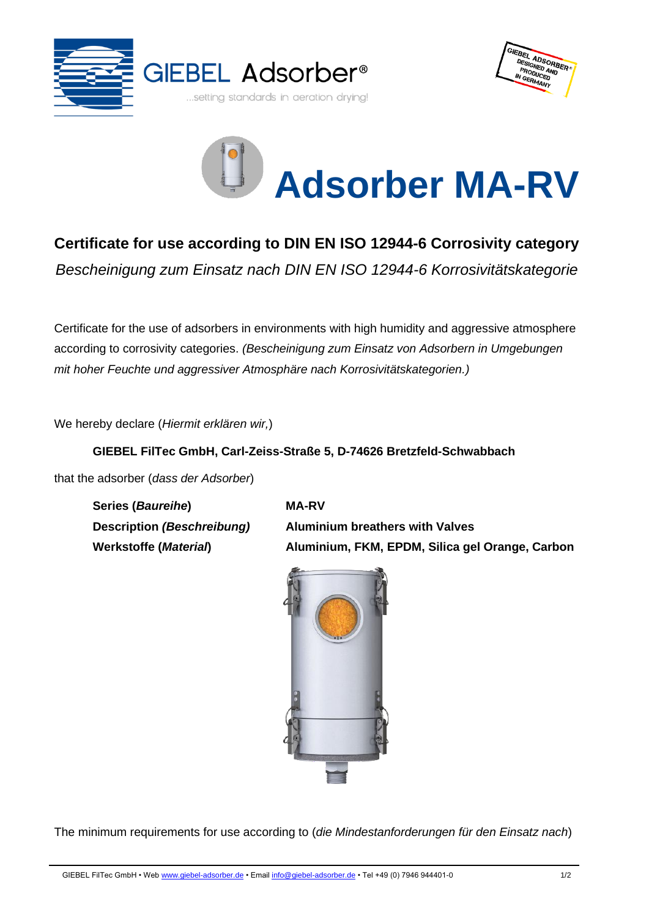





## **Certificate for use according to DIN EN ISO 12944-6 Corrosivity category**

*Bescheinigung zum Einsatz nach DIN EN ISO 12944-6 Korrosivitätskategorie*

Certificate for the use of adsorbers in environments with high humidity and aggressive atmosphere according to corrosivity categories. *(Bescheinigung zum Einsatz von Adsorbern in Umgebungen mit hoher Feuchte und aggressiver Atmosphäre nach Korrosivitätskategorien.)*

We hereby declare (*Hiermit erklären wir,*)

## **GIEBEL FilTec GmbH, Carl-Zeiss-Straße 5, D-74626 Bretzfeld-Schwabbach**

that the adsorber (*dass der Adsorber*)

**Series (***Baureihe***) MA-RV**

**Description** *(Beschreibung)* **Aluminium breathers with Valves Werkstoffe (***Material***) Aluminium, FKM, EPDM, Silica gel Orange, Carbon**



The minimum requirements for use according to (*die Mindestanforderungen für den Einsatz nach*)